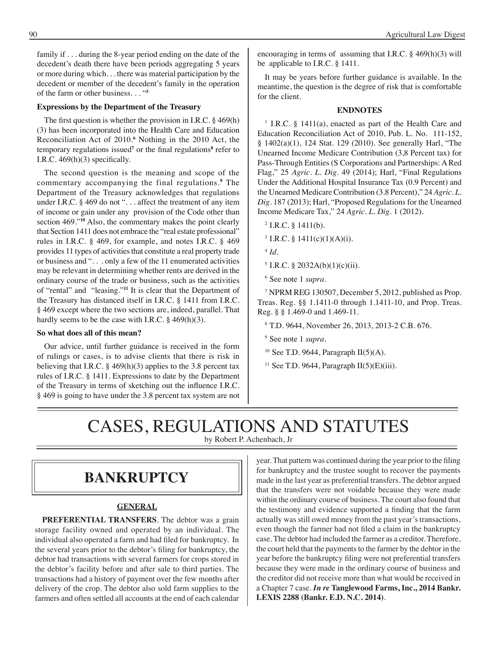family if . . . during the 8-year period ending on the date of the decedent's death there have been periods aggregating 5 years or more during which. . . there was material participation by the decedent or member of the decedent's family in the operation of the farm or other business. . . "**<sup>5</sup>**

#### **Expressions by the Department of the Treasury**

The first question is whether the provision in I.R.C. § 469(h) (3) has been incorporated into the Health Care and Education Reconciliation Act of 2010.**<sup>6</sup>** Nothing in the 2010 Act, the temporary regulations issued<sup>7</sup> or the final regulations<sup>8</sup> refer to I.R.C. 469(h)(3) specifically.

The second question is the meaning and scope of the commentary accompanying the final regulations.**<sup>9</sup>** The Department of the Treasury acknowledges that regulations under I.R,C. § 469 do not "... affect the treatment of any item of income or gain under any provision of the Code other than section 469."**<sup>10</sup>** Also, the commentary makes the point clearly that Section 1411 does not embrace the "real estate professional" rules in I.R.C. § 469, for example, and notes I.R.C. § 469 provides 11 types of activities that constitute a real property trade or business and ". . . only a few of the 11 enumerated activities may be relevant in determining whether rents are derived in the ordinary course of the trade or business, such as the activities of "rental" and "leasing."**<sup>11</sup>** It is clear that the Department of the Treasury has distanced itself in I.R.C. § 1411 from I.R.C. § 469 except where the two sections are, indeed, parallel. That hardly seems to be the case with I.R.C.  $\S$  469(h)(3).

#### **So what does all of this mean?**

Our advice, until further guidance is received in the form of rulings or cases, is to advise clients that there is risk in believing that I.R.C.  $\S$  469(h)(3) applies to the 3.8 percent tax rules of I.R.C. § 1411. Expressions to date by the Department of the Treasury in terms of sketching out the influence I.R.C. § 469 is going to have under the 3.8 percent tax system are not encouraging in terms of assuming that I.R.C. § 469(h)(3) will be applicable to I.R.C. § 1411.

It may be years before further guidance is available. In the meantime, the question is the degree of risk that is comfortable for the client.

#### **ENDNOTES**

<sup>1</sup> I.R.C. § 1411(a), enacted as part of the Health Care and Education Reconciliation Act of 2010, Pub. L. No. 111-152, § 1402(a)(1), 124 Stat. 129 (2010). See generally Harl, "The Unearned Income Medicare Contribution (3,8 Percent tax) for Pass-Through Entities (S Corporations and Partnerships: A Red Flag," 25 *Agric. L. Dig*. 49 (2014); Harl, "Final Regulations Under the Additional Hospital Insurance Tax (0.9 Percent) and the Unearned Medicare Contribution (3.8 Percent)," 24 *Agric. L. Dig*. 187 (2013); Harl, "Proposed Regulations for the Unearned Income Medicare Tax," 24 *Agric. L. Dig.* 1 (2012).

- $2$  I.R.C. § 1411(b).
- $3$  I.R.C. § 1411(c)(1)(A)(i).
- <sup>4</sup>*Id*.
- $5$  I.R.C. § 2032A(b)(1)(c)(ii).
- 6 See note 1 *supra*.

7 NPRM REG 130507, December 5, 2012, published as Prop. Treas. Reg. §§ 1.1411-0 through 1.1411-10, and Prop. Treas. Reg. § § 1.469-0 and 1.469-11.

- 8 T.D. 9644, November 26, 2013, 2013-2 C.B. 676.
- 9 See note 1 *supra*.
- $10$  See T.D. 9644, Paragraph II(5)(A).
- <sup>11</sup> See T.D. 9644, Paragraph  $II(5)(E)(iii)$ .

# CASES, REGULATIONS AND STATUTES

by Robert P. Achenbach, Jr

### **bankruptcy**

#### **GENERAL**

**PREFERENTIAL TRANSFERS**. The debtor was a grain storage facility owned and operated by an individual. The individual also operated a farm and had filed for bankruptcy. In the several years prior to the debtor's filing for bankruptcy, the debtor had transactions with several farmers for crops stored in the debtor's facility before and after sale to third parties. The transactions had a history of payment over the few months after delivery of the crop. The debtor also sold farm supplies to the farmers and often settled all accounts at the end of each calendar

year. That pattern was continued during the year prior to the filing for bankruptcy and the trustee sought to recover the payments made in the last year as preferential transfers. The debtor argued that the transfers were not voidable because they were made within the ordinary course of business. The court also found that the testimony and evidence supported a finding that the farm actually was still owed money from the past year's transactions, even though the farmer had not filed a claim in the bankruptcy case. The debtor had included the farmer as a creditor. Therefore, the court held that the payments to the farmer by the debtor in the year before the bankruptcy filing were not preferential transfers because they were made in the ordinary course of business and the creditor did not receive more than what would be received in a Chapter 7 case. *In re* **Tanglewood Farms, Inc., 2014 Bankr. LEXIS 2288 (Bankr. E.D. N.C. 2014)**.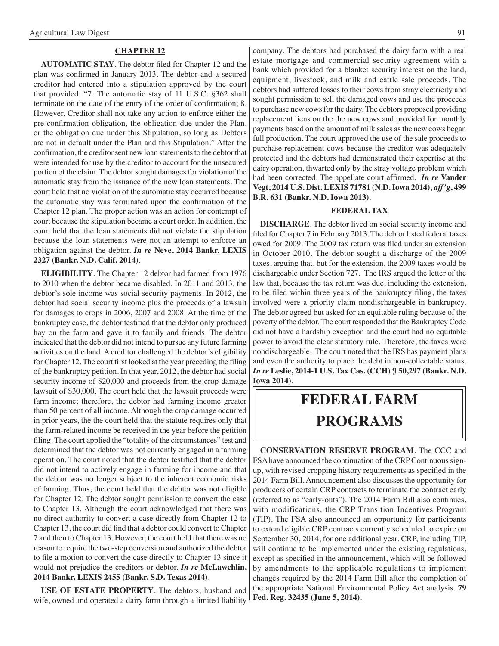#### **CHAPTER 12**

**AUTOMATIC STAY**. The debtor filed for Chapter 12 and the plan was confirmed in January 2013. The debtor and a secured creditor had entered into a stipulation approved by the court that provided: "7. The automatic stay of 11 U.S.C. §362 shall terminate on the date of the entry of the order of confirmation; 8. However, Creditor shall not take any action to enforce either the pre-confirmation obligation, the obligation due under the Plan, or the obligation due under this Stipulation, so long as Debtors are not in default under the Plan and this Stipulation." After the confirmation, the creditor sent new loan statements to the debtor that were intended for use by the creditor to account for the unsecured portion of the claim. The debtor sought damages for violation of the automatic stay from the issuance of the new loan statements. The court held that no violation of the automatic stay occurred because the automatic stay was terminated upon the confirmation of the Chapter 12 plan. The proper action was an action for contempt of court because the stipulation became a court order. In addition, the court held that the loan statements did not violate the stipulation because the loan statements were not an attempt to enforce an obligation against the debtor. *In re* **Neve, 2014 Bankr. LEXIS 2327 (Bankr. N.D. Calif. 2014)**.

**ELIGIBILITY**. The Chapter 12 debtor had farmed from 1976 to 2010 when the debtor became disabled. In 2011 and 2013, the debtor's sole income was social security payments. In 2012, the debtor had social security income plus the proceeds of a lawsuit for damages to crops in 2006, 2007 and 2008. At the time of the bankruptcy case, the debtor testified that the debtor only produced hay on the farm and gave it to family and friends. The debtor indicated that the debtor did not intend to pursue any future farming activities on the land. A creditor challenged the debtor's eligibility for Chapter 12. The court first looked at the year preceding the filing of the bankruptcy petition. In that year, 2012, the debtor had social security income of \$20,000 and proceeds from the crop damage lawsuit of \$30,000. The court held that the lawsuit proceeds were farm income; therefore, the debtor had farming income greater than 50 percent of all income. Although the crop damage occurred in prior years, the the court held that the statute requires only that the farm-related income be received in the year before the petition filing. The court applied the "totality of the circumstances" test and determined that the debtor was not currently engaged in a farming operation. The court noted that the debtor testified that the debtor did not intend to actively engage in farming for income and that the debtor was no longer subject to the inherent economic risks of farming. Thus, the court held that the debtor was not eligible for Chapter 12. The debtor sought permission to convert the case to Chapter 13. Although the court acknowledged that there was no direct authority to convert a case directly from Chapter 12 to Chapter 13, the court did find that a debtor could convert to Chapter 7 and then to Chapter 13. However, the court held that there was no reason to require the two-step conversion and authorized the debtor to file a motion to convert the case directly to Chapter 13 since it would not prejudice the creditors or debtor. *In re* **McLawchlin, 2014 Bankr. LEXIS 2455 (Bankr. S.D. Texas 2014)**.

**USE OF ESTATE PROPERTY**. The debtors, husband and wife, owned and operated a dairy farm through a limited liability

company. The debtors had purchased the dairy farm with a real estate mortgage and commercial security agreement with a bank which provided for a blanket security interest on the land, equipment, livestock, and milk and cattle sale proceeds. The debtors had suffered losses to their cows from stray electricity and sought permission to sell the damaged cows and use the proceeds to purchase new cows for the dairy. The debtors proposed providing replacement liens on the the new cows and provided for monthly payments based on the amount of milk sales as the new cows began full production. The court approved the use of the sale proceeds to purchase replacement cows because the creditor was adequately protected and the debtors had demonstrated their expertise at the dairy operation, thwarted only by the stray voltage problem which had been corrected. The appellate court affirmed. *In re* **Vander Vegt, 2014 U.S. Dist. LEXIS 71781 (N.D. Iowa 2014),** *aff'g***, 499 B.R. 631 (Bankr. N.D. Iowa 2013)**.

#### **FEDERAL TAX**

**DISCHARGE**. The debtor lived on social security income and filed for Chapter 7 in February 2013. The debtor listed federal taxes owed for 2009. The 2009 tax return was filed under an extension in October 2010. The debtor sought a discharge of the 2009 taxes, arguing that, but for the extension, the 2009 taxes would be dischargeable under Section 727. The IRS argued the letter of the law that, because the tax return was due, including the extension, to be filed within three years of the bankruptcy filing, the taxes involved were a priority claim nondischargeable in bankruptcy. The debtor agreed but asked for an equitable ruling because of the poverty of the debtor. The court responded that the Bankruptcy Code did not have a hardship exception and the court had no equitable power to avoid the clear statutory rule. Therefore, the taxes were nondischargeable. The court noted that the IRS has payment plans and even the authority to place the debt in non-collectable status. *In re* **Leslie, 2014-1 U.S. Tax Cas. (CCH) ¶ 50,297 (Bankr. N.D. Iowa 2014)**.

# **federal FARM PROGRAMS**

**CONSERVATION RESERVE PROGRAM**. The CCC and FSA have announced the continuation of the CRP Continuous signup, with revised cropping history requirements as specified in the 2014 Farm Bill. Announcement also discusses the opportunity for producers of certain CRP contracts to terminate the contract early (referred to as "early-outs"). The 2014 Farm Bill also continues, with modifications, the CRP Transition Incentives Program (TIP). The FSA also announced an opportunity for participants to extend eligible CRP contracts currently scheduled to expire on September 30, 2014, for one additional year. CRP, including TIP, will continue to be implemented under the existing regulations, except as specified in the announcement, which will be followed by amendments to the applicable regulations to implement changes required by the 2014 Farm Bill after the completion of the appropriate National Environmental Policy Act analysis. **79 Fed. Reg. 32435 (June 5, 2014)**.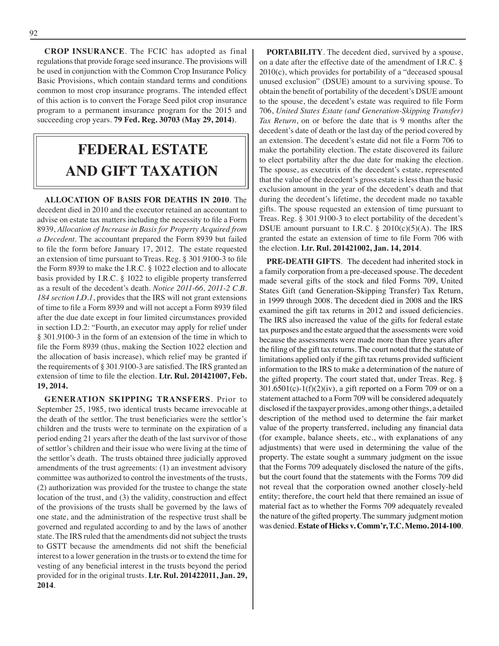**CROP INSURANCE**. The FCIC has adopted as final regulations that provide forage seed insurance. The provisions will be used in conjunction with the Common Crop Insurance Policy Basic Provisions, which contain standard terms and conditions common to most crop insurance programs. The intended effect of this action is to convert the Forage Seed pilot crop insurance program to a permanent insurance program for the 2015 and succeeding crop years. **79 Fed. Reg. 30703 (May 29, 2014)**.

# **FEDERAL ESTATE AND GIFT taxation**

**ALLOCATION OF BASIS FOR DEATHS IN 2010**. The decedent died in 2010 and the executor retained an accountant to advise on estate tax matters including the necessity to file a Form 8939, *Allocation of Increase in Basis for Property Acquired from a Decedent*. The accountant prepared the Form 8939 but failed to file the form before January 17, 2012. The estate requested an extension of time pursuant to Treas. Reg. § 301.9100-3 to file the Form 8939 to make the I.R.C. § 1022 election and to allocate basis provided by I.R.C. § 1022 to eligible property transferred as a result of the decedent's death. *Notice 2011-66, 2011-2 C.B. 184 section I.D.1*, provides that the IRS will not grant extensions of time to file a Form 8939 and will not accept a Form 8939 filed after the due date except in four limited circumstances provided in section I.D.2: "Fourth, an executor may apply for relief under § 301.9100-3 in the form of an extension of the time in which to file the Form 8939 (thus, making the Section 1022 election and the allocation of basis increase), which relief may be granted if the requirements of § 301.9100-3 are satisfied. The IRS granted an extension of time to file the election. **Ltr. Rul. 201421007, Feb. 19, 2014.**

**GENERATION SKIPPING TRANSFERS**. Prior to September 25, 1985, two identical trusts became irrevocable at the death of the settlor. The trust beneficiaries were the settlor's children and the trusts were to terminate on the expiration of a period ending 21 years after the death of the last survivor of those of settlor's children and their issue who were living at the time of the settlor's death. The trusts obtained three judicially approved amendments of the trust agreements: (1) an investment advisory committee was authorized to control the investments of the trusts, (2) authorization was provided for the trustee to change the state location of the trust, and (3) the validity, construction and effect of the provisions of the trusts shall be governed by the laws of one state, and the administration of the respective trust shall be governed and regulated according to and by the laws of another state. The IRS ruled that the amendments did not subject the trusts to GSTT because the amendments did not shift the beneficial interest to a lower generation in the trusts or to extend the time for vesting of any beneficial interest in the trusts beyond the period provided for in the original trusts. **Ltr. Rul. 201422011, Jan. 29, 2014**.

**PORTABILITY**. The decedent died, survived by a spouse, on a date after the effective date of the amendment of I.R.C. § 2010(c), which provides for portability of a "deceased spousal unused exclusion" (DSUE) amount to a surviving spouse. To obtain the benefit of portability of the decedent's DSUE amount to the spouse, the decedent's estate was required to file Form 706, *United States Estate (and Generation-Skipping Transfer) Tax Return*, on or before the date that is 9 months after the decedent's date of death or the last day of the period covered by an extension. The decedent's estate did not file a Form 706 to make the portability election. The estate discovered its failure to elect portability after the due date for making the election. The spouse, as executrix of the decedent's estate, represented that the value of the decedent's gross estate is less than the basic exclusion amount in the year of the decedent's death and that during the decedent's lifetime, the decedent made no taxable gifts. The spouse requested an extension of time pursuant to Treas. Reg. § 301.9100-3 to elect portability of the decedent's DSUE amount pursuant to I.R.C.  $\S$  2010(c)(5)(A). The IRS granted the estate an extension of time to file Form 706 with the election. **Ltr. Rul. 201421002, Jan. 14, 2014**.

**PRE-DEATH GIFTS**. The decedent had inherited stock in a family corporation from a pre-deceased spouse. The decedent made several gifts of the stock and filed Forms 709, United States Gift (and Generation-Skipping Transfer) Tax Return, in 1999 through 2008. The decedent died in 2008 and the IRS examined the gift tax returns in 2012 and issued deficiencies. The IRS also increased the value of the gifts for federal estate tax purposes and the estate argued that the assessments were void because the assessments were made more than three years after the filing of the gift tax returns. The court noted that the statute of limitations applied only if the gift tax returns provided sufficient information to the IRS to make a determination of the nature of the gifted property. The court stated that, under Treas. Reg. §  $301.6501(c) - 1(f)(2)(iv)$ , a gift reported on a Form 709 or on a statement attached to a Form 709 will be considered adequately disclosed if the taxpayer provides, among other things, a detailed description of the method used to determine the fair market value of the property transferred, including any financial data (for example, balance sheets, etc., with explanations of any adjustments) that were used in determining the value of the property. The estate sought a summary judgment on the issue that the Forms 709 adequately disclosed the nature of the gifts, but the court found that the statements with the Forms 709 did not reveal that the corporation owned another closely-held entity; therefore, the court held that there remained an issue of material fact as to whether the Forms 709 adequately revealed the nature of the gifted property. The summary judgment motion was denied. **Estate of Hicks v. Comm'r, T.C. Memo. 2014-100**.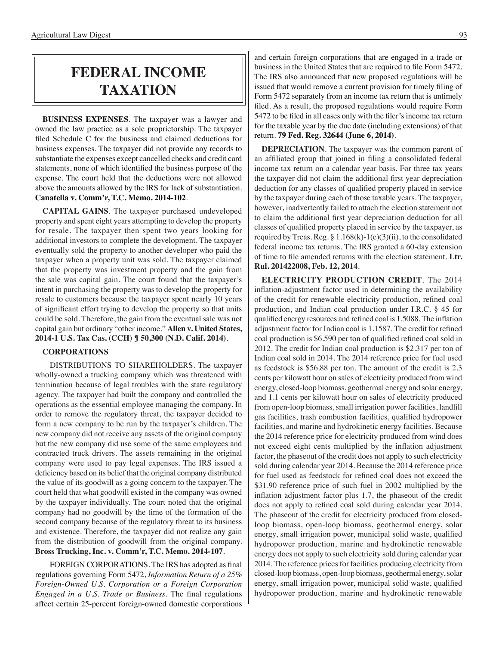## **federal income taxation**

**BUSINESS EXPENSES**. The taxpayer was a lawyer and owned the law practice as a sole proprietorship. The taxpayer filed Schedule C for the business and claimed deductions for business expenses. The taxpayer did not provide any records to substantiate the expenses except cancelled checks and credit card statements, none of which identified the business purpose of the expense. The court held that the deductions were not allowed above the amounts allowed by the IRS for lack of substantiation. **Canatella v. Comm'r, T.C. Memo. 2014-102**.

**CAPITAL GAINS**. The taxpayer purchased undeveloped property and spent eight years attempting to develop the property for resale. The taxpayer then spent two years looking for additional investors to complete the development. The taxpayer eventually sold the property to another developer who paid the taxpayer when a property unit was sold. The taxpayer claimed that the property was investment property and the gain from the sale was capital gain. The court found that the taxpayer's intent in purchasing the property was to develop the property for resale to customers because the taxpayer spent nearly 10 years of significant effort trying to develop the property so that units could be sold. Therefore, the gain from the eventual sale was not capital gain but ordinary "other income." **Allen v. United States, 2014-1 U.S. Tax Cas. (CCH) ¶ 50,300 (N.D. Calif. 2014)**.

#### **CORPORATIONS**

DISTRIBUTIONS TO SHAREHOLDERS. The taxpayer wholly-owned a trucking company which was threatened with termination because of legal troubles with the state regulatory agency. The taxpayer had built the company and controlled the operations as the essential employee managing the company. In order to remove the regulatory threat, the taxpayer decided to form a new company to be run by the taxpayer's children. The new company did not receive any assets of the original company but the new company did use some of the same employees and contracted truck drivers. The assets remaining in the original company were used to pay legal expenses. The IRS issued a deficiency based on its belief that the original company distributed the value of its goodwill as a going concern to the taxpayer. The court held that what goodwill existed in the company was owned by the taxpayer individually. The court noted that the original company had no goodwill by the time of the formation of the second company because of the regulatory threat to its business and existence. Therefore, the taxpayer did not realize any gain from the distribution of goodwill from the original company. **Bross Trucking, Inc. v. Comm'r, T.C. Memo. 2014-107**.

FOREIGN CORPORATIONS. The IRS has adopted as final regulations governing Form 5472, *Information Return of a 25% Foreign-Owned U.S. Corporation or a Foreign Corporation Engaged in a U.S. Trade or Business*. The final regulations affect certain 25-percent foreign-owned domestic corporations

and certain foreign corporations that are engaged in a trade or business in the United States that are required to file Form 5472. The IRS also announced that new proposed regulations will be issued that would remove a current provision for timely filing of Form 5472 separately from an income tax return that is untimely filed. As a result, the proposed regulations would require Form 5472 to be filed in all cases only with the filer's income tax return for the taxable year by the due date (including extensions) of that return. **79 Fed. Reg. 32644 (June 6, 2014)**.

**DEPRECIATION**. The taxpayer was the common parent of an affiliated group that joined in filing a consolidated federal income tax return on a calendar year basis. For three tax years the taxpayer did not claim the additional first year depreciation deduction for any classes of qualified property placed in service by the taxpayer during each of those taxable years. The taxpayer, however, inadvertently failed to attach the election statement not to claim the additional first year depreciation deduction for all classes of qualified property placed in service by the taxpayer, as required by Treas. Reg. § 1.168(k)-1(e)(3)(ii), to the consolidated federal income tax returns. The IRS granted a 60-day extension of time to file amended returns with the election statement. **Ltr. Rul. 201422008, Feb. 12, 2014**.

**ELECTRICITY PRODUCTION CREDIT**. The 2014 inflation-adjustment factor used in determining the availability of the credit for renewable electricity production, refined coal production, and Indian coal production under I.R.C. § 45 for qualified energy resources and refined coal is 1.5088. The inflation adjustment factor for Indian coal is 1.1587. The credit for refined coal production is \$6.590 per ton of qualified refined coal sold in 2012. The credit for Indian coal production is \$2.317 per ton of Indian coal sold in 2014. The 2014 reference price for fuel used as feedstock is \$56.88 per ton. The amount of the credit is 2.3 cents per kilowatt hour on sales of electricity produced from wind energy, closed-loop biomass, geothermal energy and solar energy, and 1.1 cents per kilowatt hour on sales of electricity produced from open-loop biomass, small irrigation power facilities, landfill gas facilities, trash combustion facilities, qualified hydropower facilities, and marine and hydrokinetic energy facilities. Because the 2014 reference price for electricity produced from wind does not exceed eight cents multiplied by the inflation adjustment factor, the phaseout of the credit does not apply to such electricity sold during calendar year 2014. Because the 2014 reference price for fuel used as feedstock for refined coal does not exceed the \$31.90 reference price of such fuel in 2002 multiplied by the inflation adjustment factor plus 1.7, the phaseout of the credit does not apply to refined coal sold during calendar year 2014. The phaseout of the credit for electricity produced from closedloop biomass, open-loop biomass, geothermal energy, solar energy, small irrigation power, municipal solid waste, qualified hydropower production, marine and hydrokinetic renewable energy does not apply to such electricity sold during calendar year 2014. The reference prices for facilities producing electricity from closed-loop biomass, open-loop biomass, geothermal energy, solar energy, small irrigation power, municipal solid waste, qualified hydropower production, marine and hydrokinetic renewable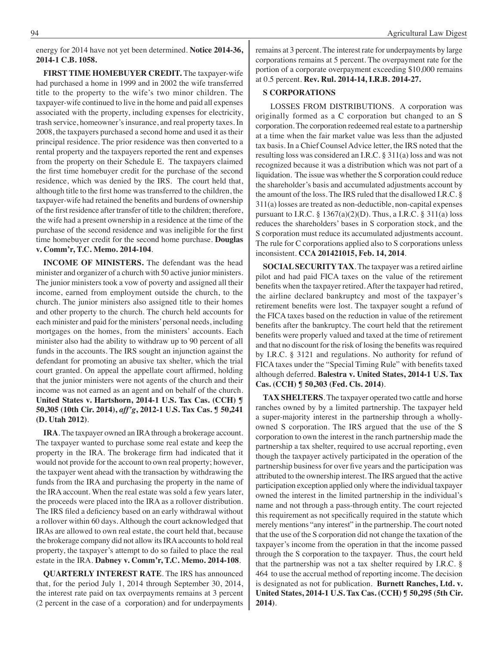energy for 2014 have not yet been determined. **Notice 2014-36, 2014-1 C.B. 1058.**

**FIRST TIME HOMEBUYER CREDIT.** The taxpayer-wife had purchased a home in 1999 and in 2002 the wife transferred title to the property to the wife's two minor children. The taxpayer-wife continued to live in the home and paid all expenses associated with the property, including expenses for electricity, trash service, homeowner's insurance, and real property taxes. In 2008, the taxpayers purchased a second home and used it as their principal residence. The prior residence was then converted to a rental property and the taxpayers reported the rent and expenses from the property on their Schedule E. The taxpayers claimed the first time homebuyer credit for the purchase of the second residence, which was denied by the IRS. The court held that, although title to the first home was transferred to the children, the taxpayer-wife had retained the benefits and burdens of ownership of the first residence after transfer of title to the children; therefore, the wife had a present ownership in a residence at the time of the purchase of the second residence and was ineligible for the first time homebuyer credit for the second home purchase. **Douglas v. Comm'r, T.C. Memo. 2014-104**.

**INCOME OF MINISTERS.** The defendant was the head minister and organizer of a church with 50 active junior ministers. The junior ministers took a vow of poverty and assigned all their income, earned from employment outside the church, to the church. The junior ministers also assigned title to their homes and other property to the church. The church held accounts for each minister and paid for the ministers' personal needs, including mortgages on the homes, from the ministers' accounts. Each minister also had the ability to withdraw up to 90 percent of all funds in the accounts. The IRS sought an injunction against the defendant for promoting an abusive tax shelter, which the trial court granted. On appeal the appellate court affirmed, holding that the junior ministers were not agents of the church and their income was not earned as an agent and on behalf of the church. **United States v. Hartshorn, 2014-1 U.S. Tax Cas. (CCH) ¶ 50,305 (10th Cir. 2014),** *aff'g***, 2012-1 U.S. Tax Cas. ¶ 50,241 (D. Utah 2012)**.

**IRA**. The taxpayer owned an IRA through a brokerage account. The taxpayer wanted to purchase some real estate and keep the property in the IRA. The brokerage firm had indicated that it would not provide for the account to own real property; however, the taxpayer went ahead with the transaction by withdrawing the funds from the IRA and purchasing the property in the name of the IRA account. When the real estate was sold a few years later, the proceeds were placed into the IRA as a rollover distribution. The IRS filed a deficiency based on an early withdrawal without a rollover within 60 days. Although the court acknowledged that IRAs are allowed to own real estate, the court held that, because the brokerage company did not allow its IRA accounts to hold real property, the taxpayer's attempt to do so failed to place the real estate in the IRA. **Dabney v. Comm'r, T.C. Memo. 2014-108**.

**QUARTERLY INTEREST RATE**. The IRS has announced that, for the period July 1, 2014 through September 30, 2014, the interest rate paid on tax overpayments remains at 3 percent (2 percent in the case of a corporation) and for underpayments remains at 3 percent. The interest rate for underpayments by large corporations remains at 5 percent. The overpayment rate for the portion of a corporate overpayment exceeding \$10,000 remains at 0.5 percent. **Rev. Rul. 2014-14, I.R.B. 2014-27.**

#### **S CORPORATIONS**

LOSSES FROM DISTRIBUTIONS. A corporation was originally formed as a C corporation but changed to an S corporation. The corporation redeemed real estate to a partnership at a time when the fair market value was less than the adjusted tax basis. In a Chief Counsel Advice letter, the IRS noted that the resulting loss was considered an I.R.C. § 311(a) loss and was not recognized because it was a distribution which was not part of a liquidation. The issue was whether the S corporation could reduce the shareholder's basis and accumulated adjustments account by the amount of the loss. The IRS ruled that the disallowed I.R.C. § 311(a) losses are treated as non-deductible, non-capital expenses pursuant to I.R.C. § 1367(a)(2)(D). Thus, a I.R.C. § 311(a) loss reduces the shareholders' bases in S corporation stock, and the S corporation must reduce its accumulated adjustments account. The rule for C corporations applied also to S corporations unless inconsistent. **CCA 201421015, Feb. 14, 2014**.

**SOCIAL SECURITY TAX**. The taxpayer was a retired airline pilot and had paid FICA taxes on the value of the retirement benefits when the taxpayer retired. After the taxpayer had retired, the airline declared bankruptcy and most of the taxpayer's retirement benefits were lost. The taxpayer sought a refund of the FICA taxes based on the reduction in value of the retirement benefits after the bankruptcy. The court held that the retirement benefits were properly valued and taxed at the time of retirement and that no discount for the risk of losing the benefits was required by I.R.C. § 3121 and regulations. No authority for refund of FICA taxes under the "Special Timing Rule" with benefits taxed although deferred. **Balestra v. United States, 2014-1 U.S. Tax Cas. (CCH) ¶ 50,303 (Fed. Cls. 2014)**.

**TAX SHELTERS**. The taxpayer operated two cattle and horse ranches owned by by a limited partnership. The taxpayer held a super-majority interest in the partnership through a whollyowned S corporation. The IRS argued that the use of the S corporation to own the interest in the ranch partnership made the partnership a tax shelter, required to use accrual reporting, even though the taxpayer actively participated in the operation of the partnership business for over five years and the participation was attributed to the ownership interest. The IRS argued that the active participation exception applied only where the individual taxpayer owned the interest in the limited partnership in the individual's name and not through a pass-through entity. The court rejected this requirement as not specifically required in the statute which merely mentions "any interest" in the partnership. The court noted that the use of the S corporation did not change the taxation of the taxpayer's income from the operation in that the income passed through the S corporation to the taxpayer. Thus, the court held that the partnership was not a tax shelter required by I.R.C. § 464 to use the accrual method of reporting income. The decision is designated as not for publication. **Burnett Ranches, Ltd. v. United States, 2014-1 U.S. Tax Cas. (CCH) ¶ 50,295 (5th Cir. 2014)**.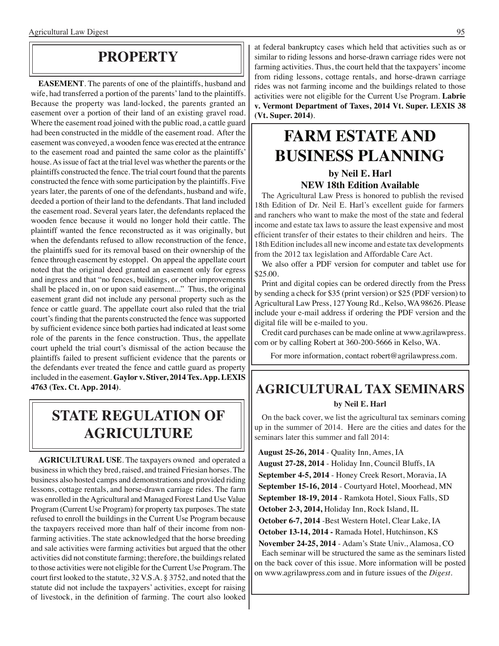### **property**

**EASEMENT**. The parents of one of the plaintiffs, husband and wife, had transferred a portion of the parents' land to the plaintiffs. Because the property was land-locked, the parents granted an easement over a portion of their land of an existing gravel road. Where the easement road joined with the public road, a cattle guard had been constructed in the middle of the easement road. After the easement was conveyed, a wooden fence was erected at the entrance to the easement road and painted the same color as the plaintiffs' house. As issue of fact at the trial level was whether the parents or the plaintiffs constructed the fence. The trial court found that the parents constructed the fence with some participation by the plaintiffs. Five years later, the parents of one of the defendants, husband and wife, deeded a portion of their land to the defendants. That land included the easement road. Several years later, the defendants replaced the wooden fence because it would no longer hold their cattle. The plaintiff wanted the fence reconstructed as it was originally, but when the defendants refused to allow reconstruction of the fence, the plaintiffs sued for its removal based on their ownership of the fence through easement by estoppel. On appeal the appellate court noted that the original deed granted an easement only for egress and ingress and that "no fences, buildings, or other improvements shall be placed in, on or upon said easement..." Thus, the original easement grant did not include any personal property such as the fence or cattle guard. The appellate court also ruled that the trial court's finding that the parents constructed the fence was supported by sufficient evidence since both parties had indicated at least some role of the parents in the fence construction. Thus, the appellate court upheld the trial court's dismissal of the action because the plaintiffs failed to present sufficient evidence that the parents or the defendants ever treated the fence and cattle guard as property included in the easement. **Gaylor v. Stiver, 2014 Tex. App. LEXIS 4763 (Tex. Ct. App. 2014)**.

### **State regulation of agriculture**

**AGRICULTURAL USE**. The taxpayers owned and operated a business in which they bred, raised, and trained Friesian horses. The business also hosted camps and demonstrations and provided riding lessons, cottage rentals, and horse-drawn carriage rides. The farm was enrolled in the Agricultural and Managed Forest Land Use Value Program (Current Use Program) for property tax purposes. The state refused to enroll the buildings in the Current Use Program because the taxpayers received more than half of their income from nonfarming activities. The state acknowledged that the horse breeding and sale activities were farming activities but argued that the other activities did not constitute farming; therefore, the buildings related to those activities were not eligible for the Current Use Program. The court first looked to the statute, 32 V.S.A. § 3752, and noted that the statute did not include the taxpayers' activities, except for raising of livestock, in the definition of farming. The court also looked at federal bankruptcy cases which held that activities such as or similar to riding lessons and horse-drawn carriage rides were not farming activities. Thus, the court held that the taxpayers' income from riding lessons, cottage rentals, and horse-drawn carriage rides was not farming income and the buildings related to those activities were not eligible for the Current Use Program. **Labrie v. Vermont Department of Taxes, 2014 Vt. Super. LEXIS 38 (Vt. Super. 2014)**.

### **FARM ESTATE AND BUSINESS PLANNING by Neil E. Harl**

### **NEW 18th Edition Available**

The Agricultural Law Press is honored to publish the revised 18th Edition of Dr. Neil E. Harl's excellent guide for farmers and ranchers who want to make the most of the state and federal income and estate tax laws to assure the least expensive and most efficient transfer of their estates to their children and heirs. The 18th Edition includes all new income and estate tax developments from the 2012 tax legislation and Affordable Care Act.

We also offer a PDF version for computer and tablet use for \$25.00.

Print and digital copies can be ordered directly from the Press by sending a check for \$35 (print version) or \$25 (PDF version) to Agricultural Law Press, 127 Young Rd., Kelso, WA 98626. Please include your e-mail address if ordering the PDF version and the digital file will be e-mailed to you.

Credit card purchases can be made online at www.agrilawpress. com or by calling Robert at 360-200-5666 in Kelso, WA.

For more information, contact robert@agrilawpress.com.

### **Agricultural tax seminars**

#### **by Neil E. Harl**

On the back cover, we list the agricultural tax seminars coming up in the summer of 2014. Here are the cities and dates for the seminars later this summer and fall 2014:

 **August 25-26, 2014** - Quality Inn, Ames, IA  **August 27-28, 2014** - Holiday Inn, Council Bluffs, IA  **September 4-5, 2014** - Honey Creek Resort, Moravia, IA  **September 15-16, 2014** - Courtyard Hotel, Moorhead, MN  **September 18-19, 2014** - Ramkota Hotel, Sioux Falls, SD  **October 2-3, 2014,** Holiday Inn, Rock Island, IL  **October 6-7, 2014** -Best Western Hotel, Clear Lake, IA  **October 13-14, 2014 -** Ramada Hotel, Hutchinson, KS  **November 24-25, 2014** - Adam's State Univ., Alamosa, CO

Each seminar will be structured the same as the seminars listed on the back cover of this issue. More information will be posted on www.agrilawpress.com and in future issues of the *Digest*.